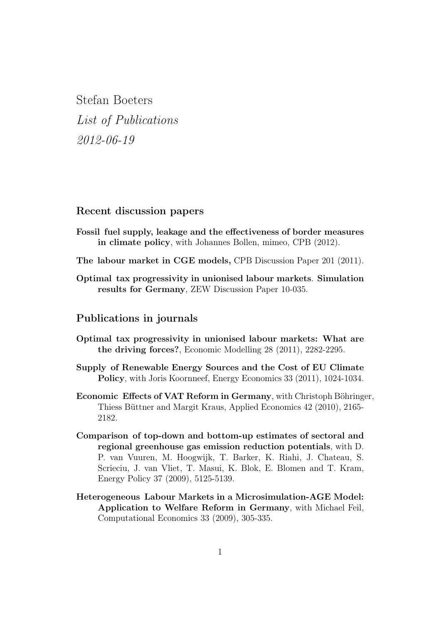Stefan Boeters List of Publications 2012-06-19

## Recent discussion papers

- Fossil fuel supply, leakage and the effectiveness of border measures in climate policy, with Johannes Bollen, mimeo, CPB (2012).
- The labour market in CGE models, CPB Discussion Paper 201 (2011).
- Optimal tax progressivity in unionised labour markets. Simulation results for Germany, ZEW Discussion Paper 10-035.

## Publications in journals

- Optimal tax progressivity in unionised labour markets: What are the driving forces?, Economic Modelling 28 (2011), 2282-2295.
- Supply of Renewable Energy Sources and the Cost of EU Climate Policy, with Joris Koornneef, Energy Economics 33 (2011), 1024-1034.
- Economic Effects of VAT Reform in Germany, with Christoph Böhringer, Thiess Büttner and Margit Kraus, Applied Economics 42 (2010), 2165- 2182.
- Comparison of top-down and bottom-up estimates of sectoral and regional greenhouse gas emission reduction potentials, with D. P. van Vuuren, M. Hoogwijk, T. Barker, K. Riahi, J. Chateau, S. Scrieciu, J. van Vliet, T. Masui, K. Blok, E. Blomen and T. Kram, Energy Policy 37 (2009), 5125-5139.
- Heterogeneous Labour Markets in a Microsimulation-AGE Model: Application to Welfare Reform in Germany, with Michael Feil, Computational Economics 33 (2009), 305-335.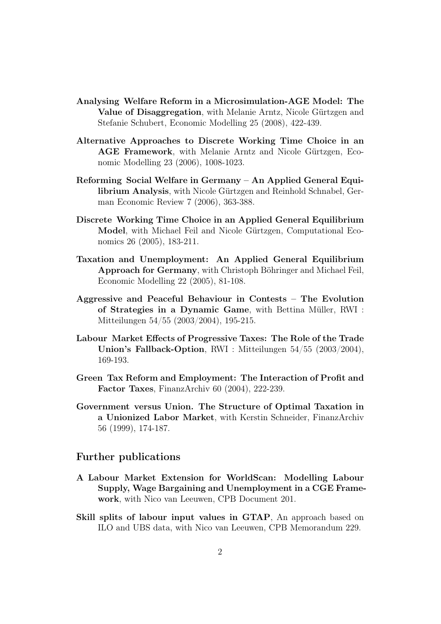- Analysing Welfare Reform in a Microsimulation-AGE Model: The Value of Disaggregation, with Melanie Arntz, Nicole Gürtzgen and Stefanie Schubert, Economic Modelling 25 (2008), 422-439.
- Alternative Approaches to Discrete Working Time Choice in an AGE Framework, with Melanie Arntz and Nicole Gürtzgen, Economic Modelling 23 (2006), 1008-1023.
- Reforming Social Welfare in Germany An Applied General Equilibrium Analysis, with Nicole Gürtzgen and Reinhold Schnabel, German Economic Review 7 (2006), 363-388.
- Discrete Working Time Choice in an Applied General Equilibrium Model, with Michael Feil and Nicole Gürtzgen, Computational Economics 26 (2005), 183-211.
- Taxation and Unemployment: An Applied General Equilibrium Approach for Germany, with Christoph Böhringer and Michael Feil, Economic Modelling 22 (2005), 81-108.
- Aggressive and Peaceful Behaviour in Contests The Evolution of Strategies in a Dynamic Game, with Bettina Müller, RWI : Mitteilungen 54/55 (2003/2004), 195-215.
- Labour Market Effects of Progressive Taxes: The Role of the Trade Union's Fallback-Option, RWI : Mitteilungen 54/55 (2003/2004), 169-193.
- Green Tax Reform and Employment: The Interaction of Profit and Factor Taxes, FinanzArchiv 60 (2004), 222-239.
- Government versus Union. The Structure of Optimal Taxation in a Unionized Labor Market, with Kerstin Schneider, FinanzArchiv 56 (1999), 174-187.

## Further publications

- A Labour Market Extension for WorldScan: Modelling Labour Supply, Wage Bargaining and Unemployment in a CGE Framework, with Nico van Leeuwen, CPB Document 201.
- Skill splits of labour input values in GTAP, An approach based on ILO and UBS data, with Nico van Leeuwen, CPB Memorandum 229.